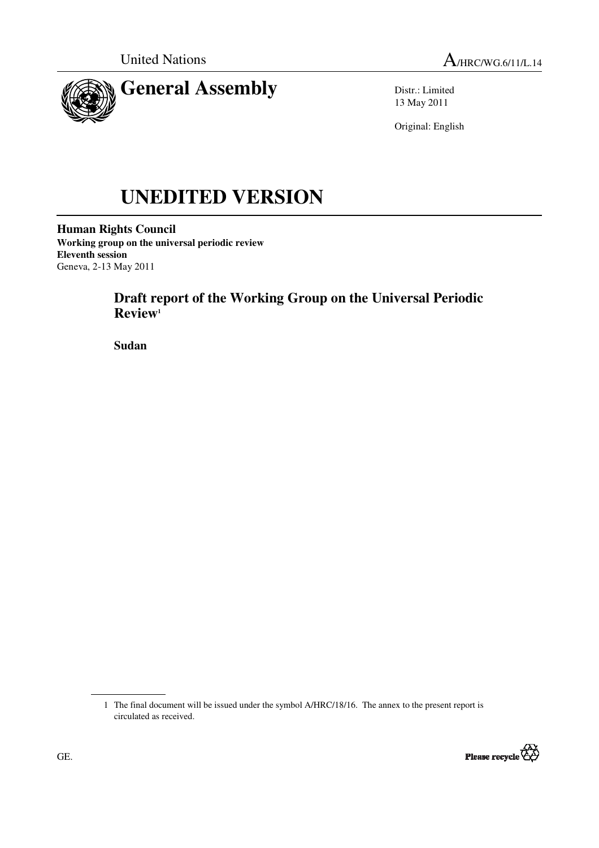



Distr.: Limited 13 May 2011

Original: English

# **UNEDITED VERSION**

**Human Rights Council Working group on the universal periodic review Eleventh session**  Geneva, 2-13 May 2011

# **Draft report of the Working Group on the Universal Periodic Review<sup>1</sup>**

 **Sudan** 

 <sup>1</sup> The final document will be issued under the symbol A/HRC/18/16. The annex to the present report is circulated as received.

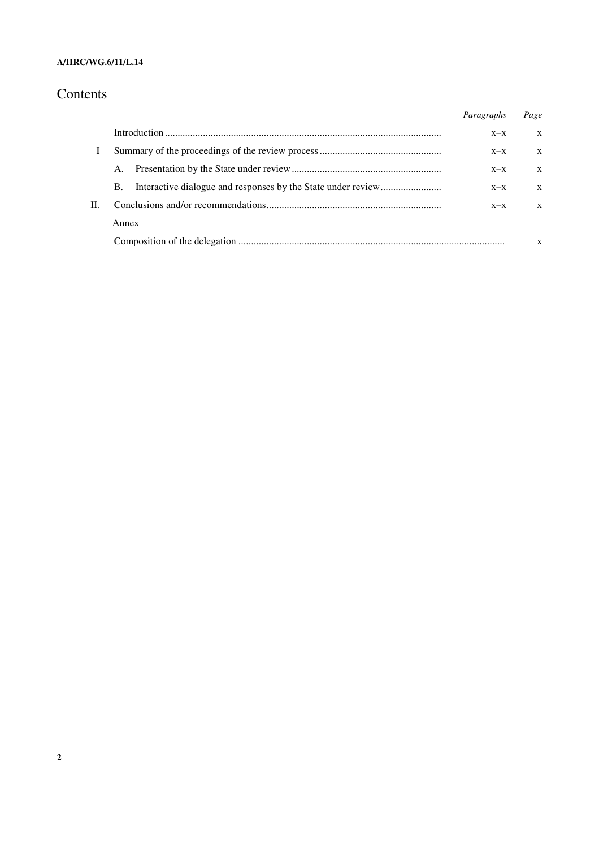#### **A/HRC/WG.6/11/L.14**

## Contents

|    |       | Paragraphs | Page |
|----|-------|------------|------|
|    |       | $X - X$    | X    |
|    |       | $X-X$      | X    |
|    | A.    | $X-X$      | X    |
|    | B.    | $X-X$      | X    |
| П. |       | $X - X$    | X    |
|    | Annex |            |      |
|    |       |            | X    |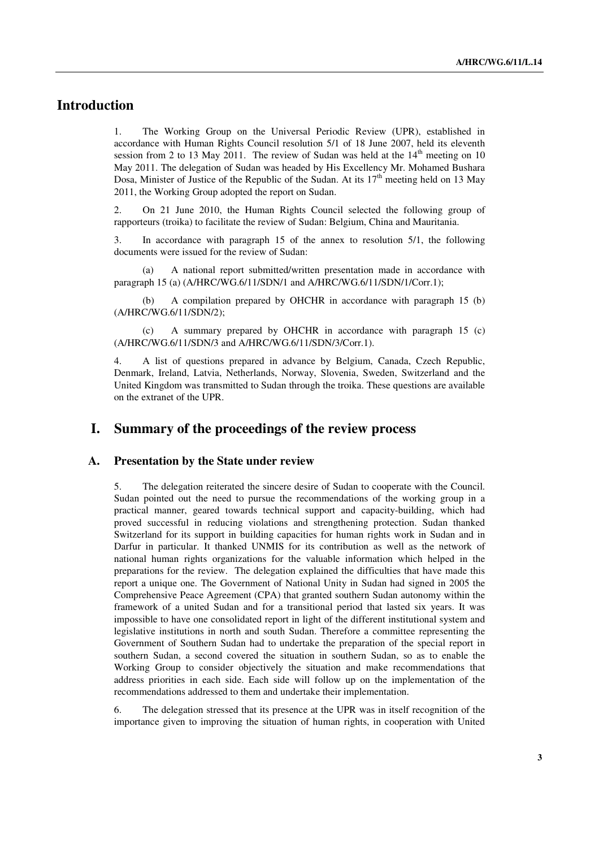## **Introduction**

1. The Working Group on the Universal Periodic Review (UPR), established in accordance with Human Rights Council resolution 5/1 of 18 June 2007, held its eleventh session from 2 to 13 May 2011. The review of Sudan was held at the  $14<sup>th</sup>$  meeting on 10 May 2011. The delegation of Sudan was headed by His Excellency Mr. Mohamed Bushara Dosa, Minister of Justice of the Republic of the Sudan. At its  $17<sup>th</sup>$  meeting held on 13 May 2011, the Working Group adopted the report on Sudan.

2. On 21 June 2010, the Human Rights Council selected the following group of rapporteurs (troika) to facilitate the review of Sudan: Belgium, China and Mauritania.

3. In accordance with paragraph 15 of the annex to resolution 5/1, the following documents were issued for the review of Sudan:

 (a) A national report submitted/written presentation made in accordance with paragraph 15 (a) (A/HRC/WG.6/11/SDN/1 and A/HRC/WG.6/11/SDN/1/Corr.1);

 (b) A compilation prepared by OHCHR in accordance with paragraph 15 (b) (A/HRC/WG.6/11/SDN/2);

 (c) A summary prepared by OHCHR in accordance with paragraph 15 (c) (A/HRC/WG.6/11/SDN/3 and A/HRC/WG.6/11/SDN/3/Corr.1).

4. A list of questions prepared in advance by Belgium, Canada, Czech Republic, Denmark, Ireland, Latvia, Netherlands, Norway, Slovenia, Sweden, Switzerland and the United Kingdom was transmitted to Sudan through the troika. These questions are available on the extranet of the UPR.

## **I. Summary of the proceedings of the review process**

#### **A. Presentation by the State under review**

5. The delegation reiterated the sincere desire of Sudan to cooperate with the Council. Sudan pointed out the need to pursue the recommendations of the working group in a practical manner, geared towards technical support and capacity-building, which had proved successful in reducing violations and strengthening protection. Sudan thanked Switzerland for its support in building capacities for human rights work in Sudan and in Darfur in particular. It thanked UNMIS for its contribution as well as the network of national human rights organizations for the valuable information which helped in the preparations for the review. The delegation explained the difficulties that have made this report a unique one. The Government of National Unity in Sudan had signed in 2005 the Comprehensive Peace Agreement (CPA) that granted southern Sudan autonomy within the framework of a united Sudan and for a transitional period that lasted six years. It was impossible to have one consolidated report in light of the different institutional system and legislative institutions in north and south Sudan. Therefore a committee representing the Government of Southern Sudan had to undertake the preparation of the special report in southern Sudan, a second covered the situation in southern Sudan, so as to enable the Working Group to consider objectively the situation and make recommendations that address priorities in each side. Each side will follow up on the implementation of the recommendations addressed to them and undertake their implementation.

6. The delegation stressed that its presence at the UPR was in itself recognition of the importance given to improving the situation of human rights, in cooperation with United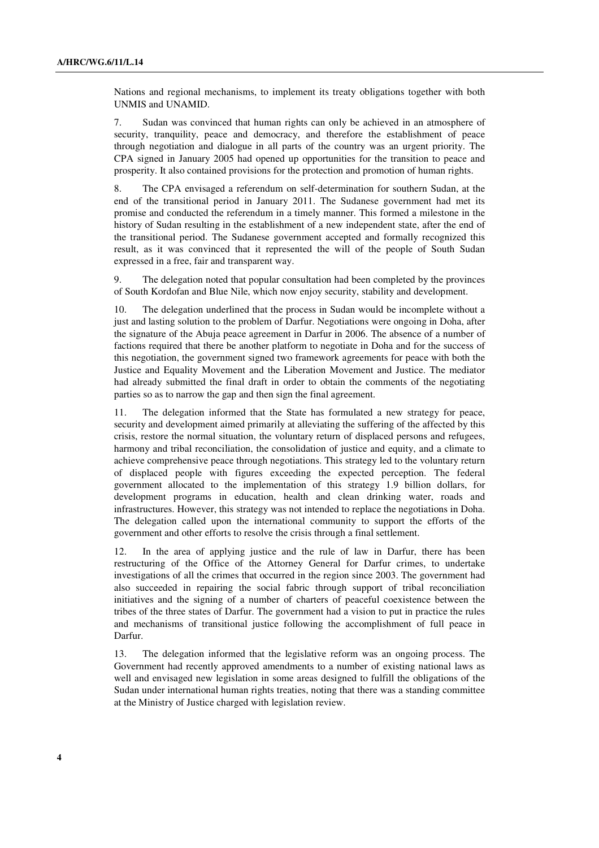Nations and regional mechanisms, to implement its treaty obligations together with both UNMIS and UNAMID.

7. Sudan was convinced that human rights can only be achieved in an atmosphere of security, tranquility, peace and democracy, and therefore the establishment of peace through negotiation and dialogue in all parts of the country was an urgent priority. The CPA signed in January 2005 had opened up opportunities for the transition to peace and prosperity. It also contained provisions for the protection and promotion of human rights.

8. The CPA envisaged a referendum on self-determination for southern Sudan, at the end of the transitional period in January 2011. The Sudanese government had met its promise and conducted the referendum in a timely manner. This formed a milestone in the history of Sudan resulting in the establishment of a new independent state, after the end of the transitional period. The Sudanese government accepted and formally recognized this result, as it was convinced that it represented the will of the people of South Sudan expressed in a free, fair and transparent way.

9. The delegation noted that popular consultation had been completed by the provinces of South Kordofan and Blue Nile, which now enjoy security, stability and development.

10. The delegation underlined that the process in Sudan would be incomplete without a just and lasting solution to the problem of Darfur. Negotiations were ongoing in Doha, after the signature of the Abuja peace agreement in Darfur in 2006. The absence of a number of factions required that there be another platform to negotiate in Doha and for the success of this negotiation, the government signed two framework agreements for peace with both the Justice and Equality Movement and the Liberation Movement and Justice. The mediator had already submitted the final draft in order to obtain the comments of the negotiating parties so as to narrow the gap and then sign the final agreement.

11. The delegation informed that the State has formulated a new strategy for peace, security and development aimed primarily at alleviating the suffering of the affected by this crisis, restore the normal situation, the voluntary return of displaced persons and refugees, harmony and tribal reconciliation, the consolidation of justice and equity, and a climate to achieve comprehensive peace through negotiations. This strategy led to the voluntary return of displaced people with figures exceeding the expected perception. The federal government allocated to the implementation of this strategy 1.9 billion dollars, for development programs in education, health and clean drinking water, roads and infrastructures. However, this strategy was not intended to replace the negotiations in Doha. The delegation called upon the international community to support the efforts of the government and other efforts to resolve the crisis through a final settlement.

12. In the area of applying justice and the rule of law in Darfur, there has been restructuring of the Office of the Attorney General for Darfur crimes, to undertake investigations of all the crimes that occurred in the region since 2003. The government had also succeeded in repairing the social fabric through support of tribal reconciliation initiatives and the signing of a number of charters of peaceful coexistence between the tribes of the three states of Darfur. The government had a vision to put in practice the rules and mechanisms of transitional justice following the accomplishment of full peace in Darfur.

13. The delegation informed that the legislative reform was an ongoing process. The Government had recently approved amendments to a number of existing national laws as well and envisaged new legislation in some areas designed to fulfill the obligations of the Sudan under international human rights treaties, noting that there was a standing committee at the Ministry of Justice charged with legislation review.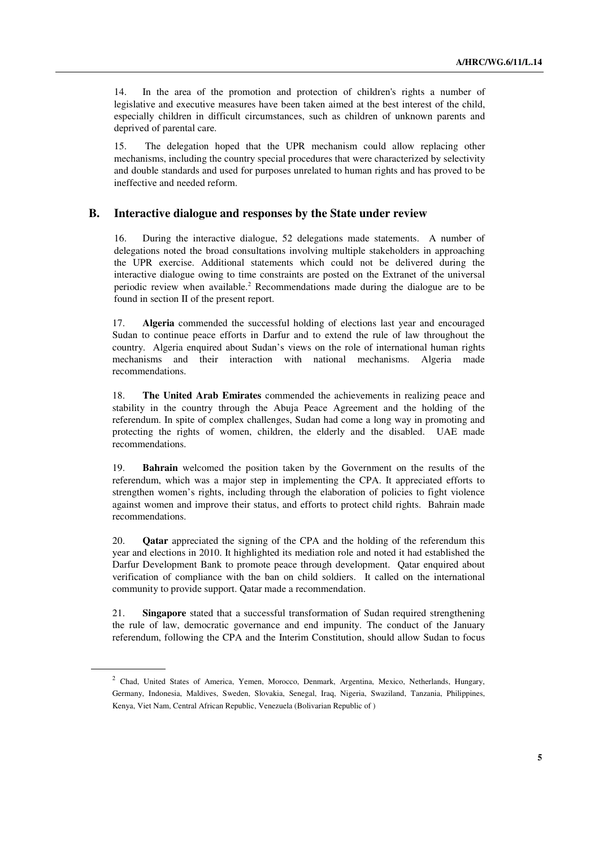14. In the area of the promotion and protection of children's rights a number of legislative and executive measures have been taken aimed at the best interest of the child, especially children in difficult circumstances, such as children of unknown parents and deprived of parental care.

15. The delegation hoped that the UPR mechanism could allow replacing other mechanisms, including the country special procedures that were characterized by selectivity and double standards and used for purposes unrelated to human rights and has proved to be ineffective and needed reform.

#### **B. Interactive dialogue and responses by the State under review**

16. During the interactive dialogue, 52 delegations made statements. A number of delegations noted the broad consultations involving multiple stakeholders in approaching the UPR exercise. Additional statements which could not be delivered during the interactive dialogue owing to time constraints are posted on the Extranet of the universal periodic review when available.<sup>2</sup> Recommendations made during the dialogue are to be found in section II of the present report.

17. **Algeria** commended the successful holding of elections last year and encouraged Sudan to continue peace efforts in Darfur and to extend the rule of law throughout the country. Algeria enquired about Sudan's views on the role of international human rights mechanisms and their interaction with national mechanisms. Algeria made recommendations.

18. **The United Arab Emirates** commended the achievements in realizing peace and stability in the country through the Abuja Peace Agreement and the holding of the referendum. In spite of complex challenges, Sudan had come a long way in promoting and protecting the rights of women, children, the elderly and the disabled. UAE made recommendations.

19. **Bahrain** welcomed the position taken by the Government on the results of the referendum, which was a major step in implementing the CPA. It appreciated efforts to strengthen women's rights, including through the elaboration of policies to fight violence against women and improve their status, and efforts to protect child rights. Bahrain made recommendations.

20. **Qatar** appreciated the signing of the CPA and the holding of the referendum this year and elections in 2010. It highlighted its mediation role and noted it had established the Darfur Development Bank to promote peace through development. Qatar enquired about verification of compliance with the ban on child soldiers. It called on the international community to provide support. Qatar made a recommendation.

21. **Singapore** stated that a successful transformation of Sudan required strengthening the rule of law, democratic governance and end impunity. The conduct of the January referendum, following the CPA and the Interim Constitution, should allow Sudan to focus

<sup>2</sup> Chad, United States of America, Yemen, Morocco, Denmark, Argentina, Mexico, Netherlands, Hungary, Germany, Indonesia, Maldives, Sweden, Slovakia, Senegal, Iraq, Nigeria, Swaziland, Tanzania, Philippines, Kenya, Viet Nam, Central African Republic, Venezuela (Bolivarian Republic of )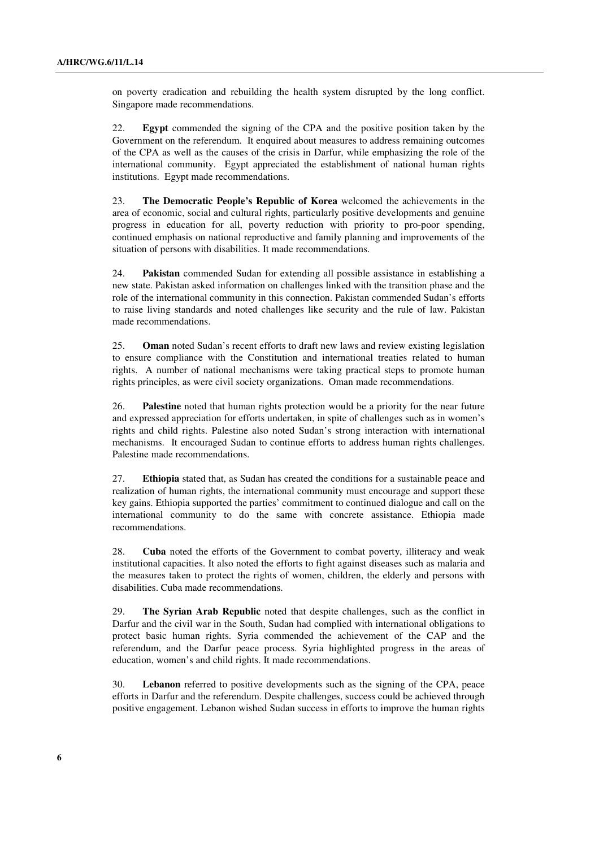on poverty eradication and rebuilding the health system disrupted by the long conflict. Singapore made recommendations.

22. **Egypt** commended the signing of the CPA and the positive position taken by the Government on the referendum. It enquired about measures to address remaining outcomes of the CPA as well as the causes of the crisis in Darfur, while emphasizing the role of the international community. Egypt appreciated the establishment of national human rights institutions. Egypt made recommendations.

23. **The Democratic People's Republic of Korea** welcomed the achievements in the area of economic, social and cultural rights, particularly positive developments and genuine progress in education for all, poverty reduction with priority to pro-poor spending, continued emphasis on national reproductive and family planning and improvements of the situation of persons with disabilities. It made recommendations.

24. **Pakistan** commended Sudan for extending all possible assistance in establishing a new state. Pakistan asked information on challenges linked with the transition phase and the role of the international community in this connection. Pakistan commended Sudan's efforts to raise living standards and noted challenges like security and the rule of law. Pakistan made recommendations.

25. **Oman** noted Sudan's recent efforts to draft new laws and review existing legislation to ensure compliance with the Constitution and international treaties related to human rights. A number of national mechanisms were taking practical steps to promote human rights principles, as were civil society organizations. Oman made recommendations.

26. **Palestine** noted that human rights protection would be a priority for the near future and expressed appreciation for efforts undertaken, in spite of challenges such as in women's rights and child rights. Palestine also noted Sudan's strong interaction with international mechanisms. It encouraged Sudan to continue efforts to address human rights challenges. Palestine made recommendations.

27. **Ethiopia** stated that, as Sudan has created the conditions for a sustainable peace and realization of human rights, the international community must encourage and support these key gains. Ethiopia supported the parties' commitment to continued dialogue and call on the international community to do the same with concrete assistance. Ethiopia made recommendations.

28. **Cuba** noted the efforts of the Government to combat poverty, illiteracy and weak institutional capacities. It also noted the efforts to fight against diseases such as malaria and the measures taken to protect the rights of women, children, the elderly and persons with disabilities. Cuba made recommendations.

29. **The Syrian Arab Republic** noted that despite challenges, such as the conflict in Darfur and the civil war in the South, Sudan had complied with international obligations to protect basic human rights. Syria commended the achievement of the CAP and the referendum, and the Darfur peace process. Syria highlighted progress in the areas of education, women's and child rights. It made recommendations.

30. **Lebanon** referred to positive developments such as the signing of the CPA, peace efforts in Darfur and the referendum. Despite challenges, success could be achieved through positive engagement. Lebanon wished Sudan success in efforts to improve the human rights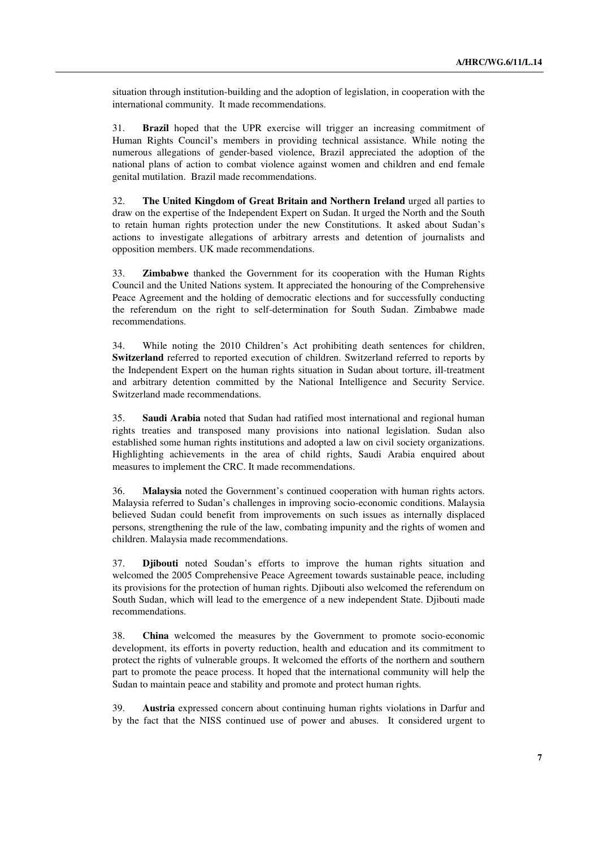situation through institution-building and the adoption of legislation, in cooperation with the international community. It made recommendations.

31. **Brazil** hoped that the UPR exercise will trigger an increasing commitment of Human Rights Council's members in providing technical assistance. While noting the numerous allegations of gender-based violence, Brazil appreciated the adoption of the national plans of action to combat violence against women and children and end female genital mutilation. Brazil made recommendations.

32. **The United Kingdom of Great Britain and Northern Ireland** urged all parties to draw on the expertise of the Independent Expert on Sudan. It urged the North and the South to retain human rights protection under the new Constitutions. It asked about Sudan's actions to investigate allegations of arbitrary arrests and detention of journalists and opposition members. UK made recommendations.

33. **Zimbabwe** thanked the Government for its cooperation with the Human Rights Council and the United Nations system. It appreciated the honouring of the Comprehensive Peace Agreement and the holding of democratic elections and for successfully conducting the referendum on the right to self-determination for South Sudan. Zimbabwe made recommendations.

34. While noting the 2010 Children's Act prohibiting death sentences for children, **Switzerland** referred to reported execution of children. Switzerland referred to reports by the Independent Expert on the human rights situation in Sudan about torture, ill-treatment and arbitrary detention committed by the National Intelligence and Security Service. Switzerland made recommendations.

35. **Saudi Arabia** noted that Sudan had ratified most international and regional human rights treaties and transposed many provisions into national legislation. Sudan also established some human rights institutions and adopted a law on civil society organizations. Highlighting achievements in the area of child rights, Saudi Arabia enquired about measures to implement the CRC. It made recommendations.

36. **Malaysia** noted the Government's continued cooperation with human rights actors. Malaysia referred to Sudan's challenges in improving socio-economic conditions. Malaysia believed Sudan could benefit from improvements on such issues as internally displaced persons, strengthening the rule of the law, combating impunity and the rights of women and children. Malaysia made recommendations.

37. **Djibouti** noted Soudan's efforts to improve the human rights situation and welcomed the 2005 Comprehensive Peace Agreement towards sustainable peace, including its provisions for the protection of human rights. Djibouti also welcomed the referendum on South Sudan, which will lead to the emergence of a new independent State. Djibouti made recommendations.

38. **China** welcomed the measures by the Government to promote socio-economic development, its efforts in poverty reduction, health and education and its commitment to protect the rights of vulnerable groups. It welcomed the efforts of the northern and southern part to promote the peace process. It hoped that the international community will help the Sudan to maintain peace and stability and promote and protect human rights.

39. **Austria** expressed concern about continuing human rights violations in Darfur and by the fact that the NISS continued use of power and abuses. It considered urgent to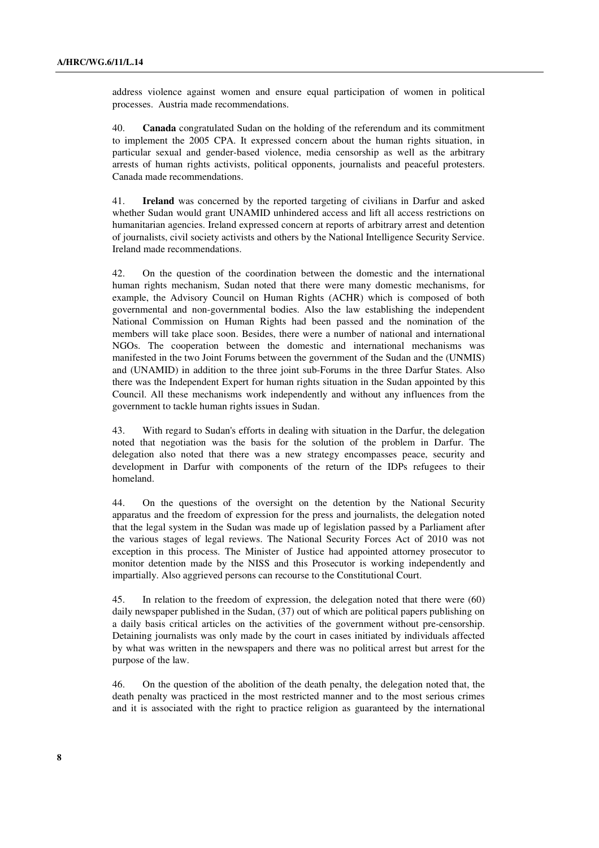address violence against women and ensure equal participation of women in political processes. Austria made recommendations.

40. **Canada** congratulated Sudan on the holding of the referendum and its commitment to implement the 2005 CPA. It expressed concern about the human rights situation, in particular sexual and gender-based violence, media censorship as well as the arbitrary arrests of human rights activists, political opponents, journalists and peaceful protesters. Canada made recommendations.

41. **Ireland** was concerned by the reported targeting of civilians in Darfur and asked whether Sudan would grant UNAMID unhindered access and lift all access restrictions on humanitarian agencies. Ireland expressed concern at reports of arbitrary arrest and detention of journalists, civil society activists and others by the National Intelligence Security Service. Ireland made recommendations.

42. On the question of the coordination between the domestic and the international human rights mechanism, Sudan noted that there were many domestic mechanisms, for example, the Advisory Council on Human Rights (ACHR) which is composed of both governmental and non-governmental bodies. Also the law establishing the independent National Commission on Human Rights had been passed and the nomination of the members will take place soon. Besides, there were a number of national and international NGOs. The cooperation between the domestic and international mechanisms was manifested in the two Joint Forums between the government of the Sudan and the (UNMIS) and (UNAMID) in addition to the three joint sub-Forums in the three Darfur States. Also there was the Independent Expert for human rights situation in the Sudan appointed by this Council. All these mechanisms work independently and without any influences from the government to tackle human rights issues in Sudan.

43. With regard to Sudan's efforts in dealing with situation in the Darfur, the delegation noted that negotiation was the basis for the solution of the problem in Darfur. The delegation also noted that there was a new strategy encompasses peace, security and development in Darfur with components of the return of the IDPs refugees to their homeland.

44. On the questions of the oversight on the detention by the National Security apparatus and the freedom of expression for the press and journalists, the delegation noted that the legal system in the Sudan was made up of legislation passed by a Parliament after the various stages of legal reviews. The National Security Forces Act of 2010 was not exception in this process. The Minister of Justice had appointed attorney prosecutor to monitor detention made by the NISS and this Prosecutor is working independently and impartially. Also aggrieved persons can recourse to the Constitutional Court.

45. In relation to the freedom of expression, the delegation noted that there were (60) daily newspaper published in the Sudan, (37) out of which are political papers publishing on a daily basis critical articles on the activities of the government without pre-censorship. Detaining journalists was only made by the court in cases initiated by individuals affected by what was written in the newspapers and there was no political arrest but arrest for the purpose of the law.

46. On the question of the abolition of the death penalty, the delegation noted that, the death penalty was practiced in the most restricted manner and to the most serious crimes and it is associated with the right to practice religion as guaranteed by the international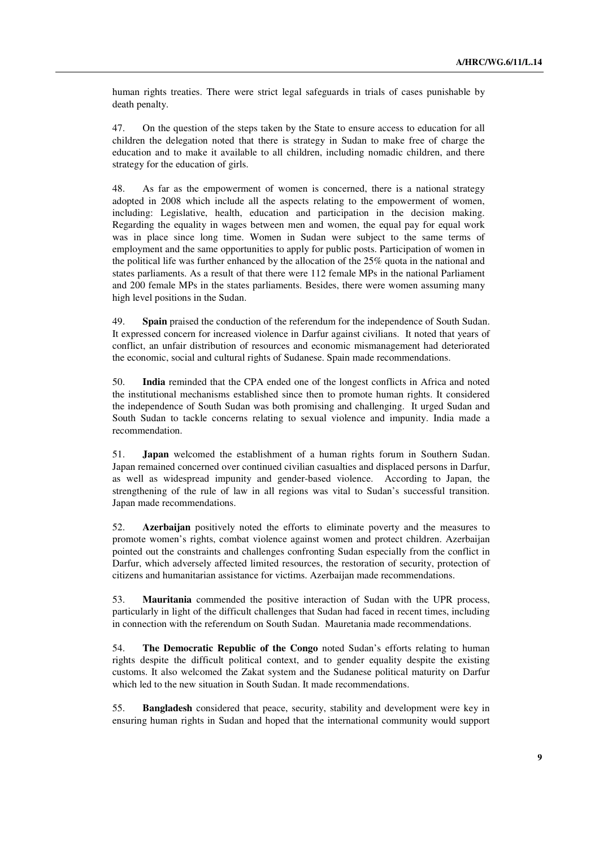human rights treaties. There were strict legal safeguards in trials of cases punishable by death penalty.

47. On the question of the steps taken by the State to ensure access to education for all children the delegation noted that there is strategy in Sudan to make free of charge the education and to make it available to all children, including nomadic children, and there strategy for the education of girls.

48. As far as the empowerment of women is concerned, there is a national strategy adopted in 2008 which include all the aspects relating to the empowerment of women, including: Legislative, health, education and participation in the decision making. Regarding the equality in wages between men and women, the equal pay for equal work was in place since long time. Women in Sudan were subject to the same terms of employment and the same opportunities to apply for public posts. Participation of women in the political life was further enhanced by the allocation of the 25% quota in the national and states parliaments. As a result of that there were 112 female MPs in the national Parliament and 200 female MPs in the states parliaments. Besides, there were women assuming many high level positions in the Sudan.

49. **Spain** praised the conduction of the referendum for the independence of South Sudan. It expressed concern for increased violence in Darfur against civilians. It noted that years of conflict, an unfair distribution of resources and economic mismanagement had deteriorated the economic, social and cultural rights of Sudanese. Spain made recommendations.

50. **India** reminded that the CPA ended one of the longest conflicts in Africa and noted the institutional mechanisms established since then to promote human rights. It considered the independence of South Sudan was both promising and challenging. It urged Sudan and South Sudan to tackle concerns relating to sexual violence and impunity. India made a recommendation.

51. **Japan** welcomed the establishment of a human rights forum in Southern Sudan. Japan remained concerned over continued civilian casualties and displaced persons in Darfur, as well as widespread impunity and gender-based violence. According to Japan, the strengthening of the rule of law in all regions was vital to Sudan's successful transition. Japan made recommendations.

52. **Azerbaijan** positively noted the efforts to eliminate poverty and the measures to promote women's rights, combat violence against women and protect children. Azerbaijan pointed out the constraints and challenges confronting Sudan especially from the conflict in Darfur, which adversely affected limited resources, the restoration of security, protection of citizens and humanitarian assistance for victims. Azerbaijan made recommendations.

53. **Mauritania** commended the positive interaction of Sudan with the UPR process, particularly in light of the difficult challenges that Sudan had faced in recent times, including in connection with the referendum on South Sudan. Mauretania made recommendations.

54. **The Democratic Republic of the Congo** noted Sudan's efforts relating to human rights despite the difficult political context, and to gender equality despite the existing customs. It also welcomed the Zakat system and the Sudanese political maturity on Darfur which led to the new situation in South Sudan. It made recommendations.

55. **Bangladesh** considered that peace, security, stability and development were key in ensuring human rights in Sudan and hoped that the international community would support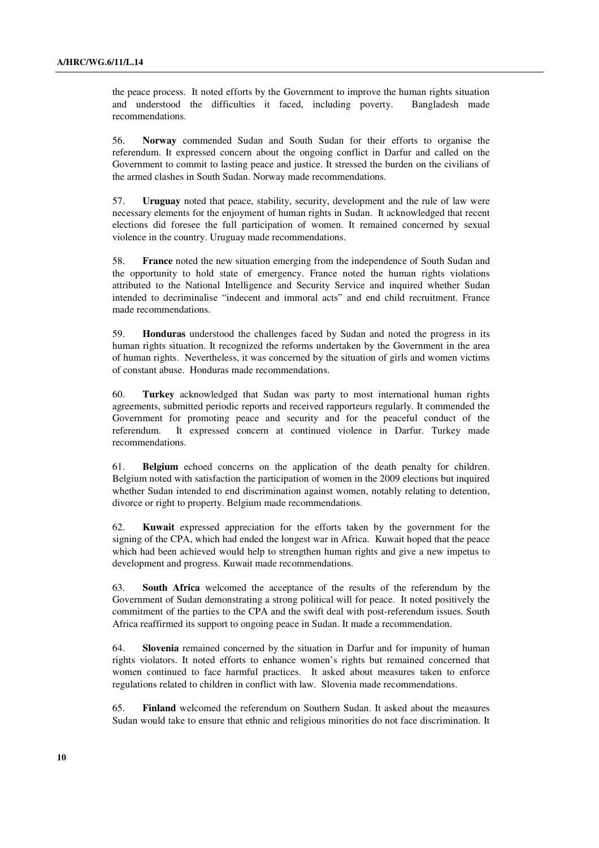the peace process. It noted efforts by the Government to improve the human rights situation and understood the difficulties it faced, including poverty. Bangladesh made recommendations.

56. **Norway** commended Sudan and South Sudan for their efforts to organise the referendum. It expressed concern about the ongoing conflict in Darfur and called on the Government to commit to lasting peace and justice. It stressed the burden on the civilians of the armed clashes in South Sudan. Norway made recommendations.

57. **Uruguay** noted that peace, stability, security, development and the rule of law were necessary elements for the enjoyment of human rights in Sudan. It acknowledged that recent elections did foresee the full participation of women. It remained concerned by sexual violence in the country. Uruguay made recommendations.

58. **France** noted the new situation emerging from the independence of South Sudan and the opportunity to hold state of emergency. France noted the human rights violations attributed to the National Intelligence and Security Service and inquired whether Sudan intended to decriminalise "indecent and immoral acts" and end child recruitment. France made recommendations.

59. **Honduras** understood the challenges faced by Sudan and noted the progress in its human rights situation. It recognized the reforms undertaken by the Government in the area of human rights. Nevertheless, it was concerned by the situation of girls and women victims of constant abuse. Honduras made recommendations.

60. **Turkey** acknowledged that Sudan was party to most international human rights agreements, submitted periodic reports and received rapporteurs regularly. It commended the Government for promoting peace and security and for the peaceful conduct of the referendum. It expressed concern at continued violence in Darfur. Turkey made recommendations.

61. **Belgium** echoed concerns on the application of the death penalty for children. Belgium noted with satisfaction the participation of women in the 2009 elections but inquired whether Sudan intended to end discrimination against women, notably relating to detention, divorce or right to property. Belgium made recommendations.

62. **Kuwait** expressed appreciation for the efforts taken by the government for the signing of the CPA, which had ended the longest war in Africa. Kuwait hoped that the peace which had been achieved would help to strengthen human rights and give a new impetus to development and progress. Kuwait made recommendations.

63. **South Africa** welcomed the acceptance of the results of the referendum by the Government of Sudan demonstrating a strong political will for peace. It noted positively the commitment of the parties to the CPA and the swift deal with post-referendum issues. South Africa reaffirmed its support to ongoing peace in Sudan. It made a recommendation.

64. **Slovenia** remained concerned by the situation in Darfur and for impunity of human rights violators. It noted efforts to enhance women's rights but remained concerned that women continued to face harmful practices. It asked about measures taken to enforce regulations related to children in conflict with law. Slovenia made recommendations.

65. **Finland** welcomed the referendum on Southern Sudan. It asked about the measures Sudan would take to ensure that ethnic and religious minorities do not face discrimination. It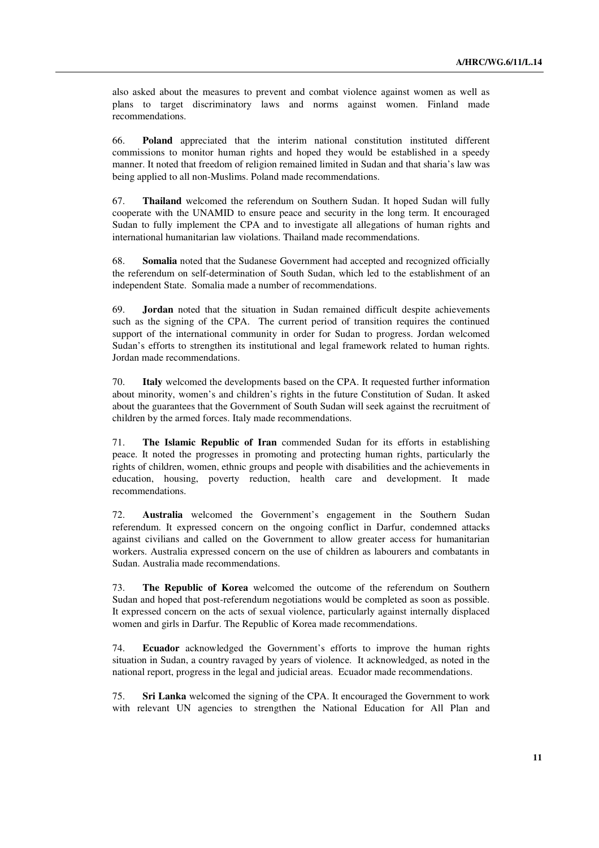also asked about the measures to prevent and combat violence against women as well as plans to target discriminatory laws and norms against women. Finland made recommendations.

66. **Poland** appreciated that the interim national constitution instituted different commissions to monitor human rights and hoped they would be established in a speedy manner. It noted that freedom of religion remained limited in Sudan and that sharia's law was being applied to all non-Muslims. Poland made recommendations.

67. **Thailand** welcomed the referendum on Southern Sudan. It hoped Sudan will fully cooperate with the UNAMID to ensure peace and security in the long term. It encouraged Sudan to fully implement the CPA and to investigate all allegations of human rights and international humanitarian law violations. Thailand made recommendations.

68. **Somalia** noted that the Sudanese Government had accepted and recognized officially the referendum on self-determination of South Sudan, which led to the establishment of an independent State. Somalia made a number of recommendations.

69. **Jordan** noted that the situation in Sudan remained difficult despite achievements such as the signing of the CPA. The current period of transition requires the continued support of the international community in order for Sudan to progress. Jordan welcomed Sudan's efforts to strengthen its institutional and legal framework related to human rights. Jordan made recommendations.

70. **Italy** welcomed the developments based on the CPA. It requested further information about minority, women's and children's rights in the future Constitution of Sudan. It asked about the guarantees that the Government of South Sudan will seek against the recruitment of children by the armed forces. Italy made recommendations.

71. **The Islamic Republic of Iran** commended Sudan for its efforts in establishing peace. It noted the progresses in promoting and protecting human rights, particularly the rights of children, women, ethnic groups and people with disabilities and the achievements in education, housing, poverty reduction, health care and development. It made recommendations.

72. **Australia** welcomed the Government's engagement in the Southern Sudan referendum. It expressed concern on the ongoing conflict in Darfur, condemned attacks against civilians and called on the Government to allow greater access for humanitarian workers. Australia expressed concern on the use of children as labourers and combatants in Sudan. Australia made recommendations.

73. **The Republic of Korea** welcomed the outcome of the referendum on Southern Sudan and hoped that post-referendum negotiations would be completed as soon as possible. It expressed concern on the acts of sexual violence, particularly against internally displaced women and girls in Darfur. The Republic of Korea made recommendations.

74. **Ecuador** acknowledged the Government's efforts to improve the human rights situation in Sudan, a country ravaged by years of violence. It acknowledged, as noted in the national report, progress in the legal and judicial areas. Ecuador made recommendations.

75. **Sri Lanka** welcomed the signing of the CPA. It encouraged the Government to work with relevant UN agencies to strengthen the National Education for All Plan and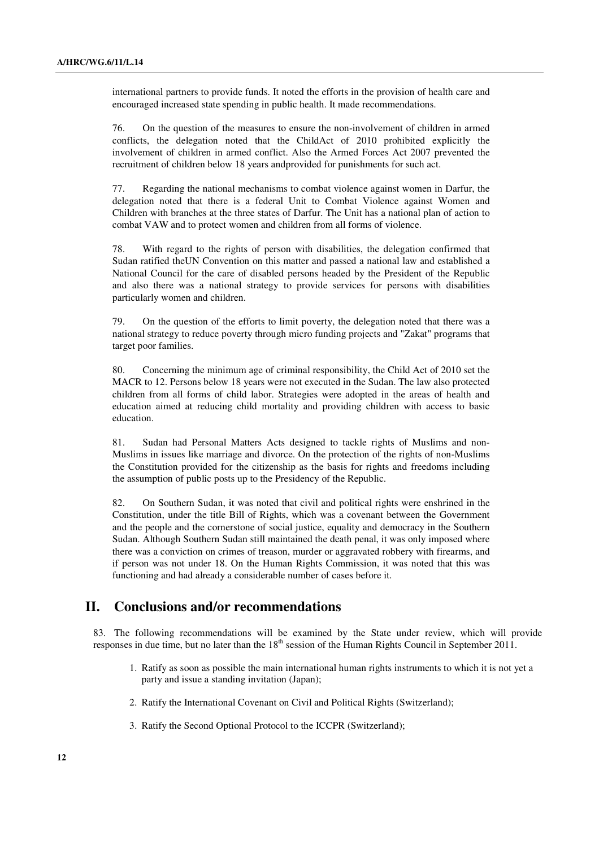international partners to provide funds. It noted the efforts in the provision of health care and encouraged increased state spending in public health. It made recommendations.

76. On the question of the measures to ensure the non-involvement of children in armed conflicts, the delegation noted that the ChildAct of 2010 prohibited explicitly the involvement of children in armed conflict. Also the Armed Forces Act 2007 prevented the recruitment of children below 18 years andprovided for punishments for such act.

77. Regarding the national mechanisms to combat violence against women in Darfur, the delegation noted that there is a federal Unit to Combat Violence against Women and Children with branches at the three states of Darfur. The Unit has a national plan of action to combat VAW and to protect women and children from all forms of violence.

78. With regard to the rights of person with disabilities, the delegation confirmed that Sudan ratified theUN Convention on this matter and passed a national law and established a National Council for the care of disabled persons headed by the President of the Republic and also there was a national strategy to provide services for persons with disabilities particularly women and children.

79. On the question of the efforts to limit poverty, the delegation noted that there was a national strategy to reduce poverty through micro funding projects and "Zakat" programs that target poor families.

80. Concerning the minimum age of criminal responsibility, the Child Act of 2010 set the MACR to 12. Persons below 18 years were not executed in the Sudan. The law also protected children from all forms of child labor. Strategies were adopted in the areas of health and education aimed at reducing child mortality and providing children with access to basic education.

81. Sudan had Personal Matters Acts designed to tackle rights of Muslims and non-Muslims in issues like marriage and divorce. On the protection of the rights of non-Muslims the Constitution provided for the citizenship as the basis for rights and freedoms including the assumption of public posts up to the Presidency of the Republic.

82. On Southern Sudan, it was noted that civil and political rights were enshrined in the Constitution, under the title Bill of Rights, which was a covenant between the Government and the people and the cornerstone of social justice, equality and democracy in the Southern Sudan. Although Southern Sudan still maintained the death penal, it was only imposed where there was a conviction on crimes of treason, murder or aggravated robbery with firearms, and if person was not under 18. On the Human Rights Commission, it was noted that this was functioning and had already a considerable number of cases before it.

## **II. Conclusions and/or recommendations**

83. The following recommendations will be examined by the State under review, which will provide responses in due time, but no later than the 18<sup>th</sup> session of the Human Rights Council in September 2011.

- 1. Ratify as soon as possible the main international human rights instruments to which it is not yet a party and issue a standing invitation (Japan);
- 2. Ratify the International Covenant on Civil and Political Rights (Switzerland);
- 3. Ratify the Second Optional Protocol to the ICCPR (Switzerland);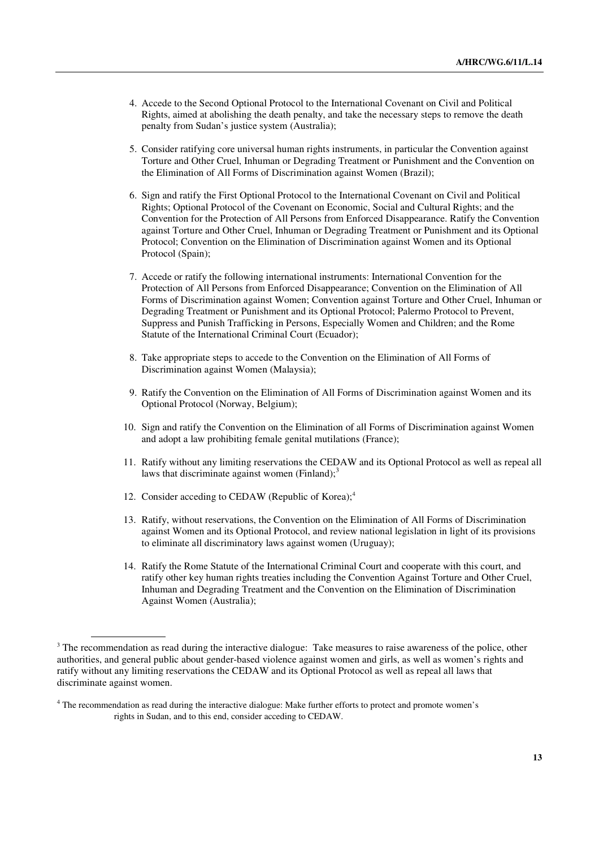- 4. Accede to the Second Optional Protocol to the International Covenant on Civil and Political Rights, aimed at abolishing the death penalty, and take the necessary steps to remove the death penalty from Sudan's justice system (Australia);
- 5. Consider ratifying core universal human rights instruments, in particular the Convention against Torture and Other Cruel, Inhuman or Degrading Treatment or Punishment and the Convention on the Elimination of All Forms of Discrimination against Women (Brazil);
- 6. Sign and ratify the First Optional Protocol to the International Covenant on Civil and Political Rights; Optional Protocol of the Covenant on Economic, Social and Cultural Rights; and the Convention for the Protection of All Persons from Enforced Disappearance. Ratify the Convention against Torture and Other Cruel, Inhuman or Degrading Treatment or Punishment and its Optional Protocol; Convention on the Elimination of Discrimination against Women and its Optional Protocol (Spain);
- 7. Accede or ratify the following international instruments: International Convention for the Protection of All Persons from Enforced Disappearance; Convention on the Elimination of All Forms of Discrimination against Women; Convention against Torture and Other Cruel, Inhuman or Degrading Treatment or Punishment and its Optional Protocol; Palermo Protocol to Prevent, Suppress and Punish Trafficking in Persons, Especially Women and Children; and the Rome Statute of the International Criminal Court (Ecuador);
- 8. Take appropriate steps to accede to the Convention on the Elimination of All Forms of Discrimination against Women (Malaysia);
- 9. Ratify the Convention on the Elimination of All Forms of Discrimination against Women and its Optional Protocol (Norway, Belgium);
- 10. Sign and ratify the Convention on the Elimination of all Forms of Discrimination against Women and adopt a law prohibiting female genital mutilations (France);
- 11. Ratify without any limiting reservations the CEDAW and its Optional Protocol as well as repeal all laws that discriminate against women (Finland); $3$
- 12. Consider acceding to CEDAW (Republic of Korea);<sup>4</sup>
- 13. Ratify, without reservations, the Convention on the Elimination of All Forms of Discrimination against Women and its Optional Protocol, and review national legislation in light of its provisions to eliminate all discriminatory laws against women (Uruguay);
- 14. Ratify the Rome Statute of the International Criminal Court and cooperate with this court, and ratify other key human rights treaties including the Convention Against Torture and Other Cruel, Inhuman and Degrading Treatment and the Convention on the Elimination of Discrimination Against Women (Australia);

 $3$  The recommendation as read during the interactive dialogue: Take measures to raise awareness of the police, other authorities, and general public about gender-based violence against women and girls, as well as women's rights and ratify without any limiting reservations the CEDAW and its Optional Protocol as well as repeal all laws that discriminate against women.

<sup>&</sup>lt;sup>4</sup> The recommendation as read during the interactive dialogue: Make further efforts to protect and promote women's rights in Sudan, and to this end, consider acceding to CEDAW.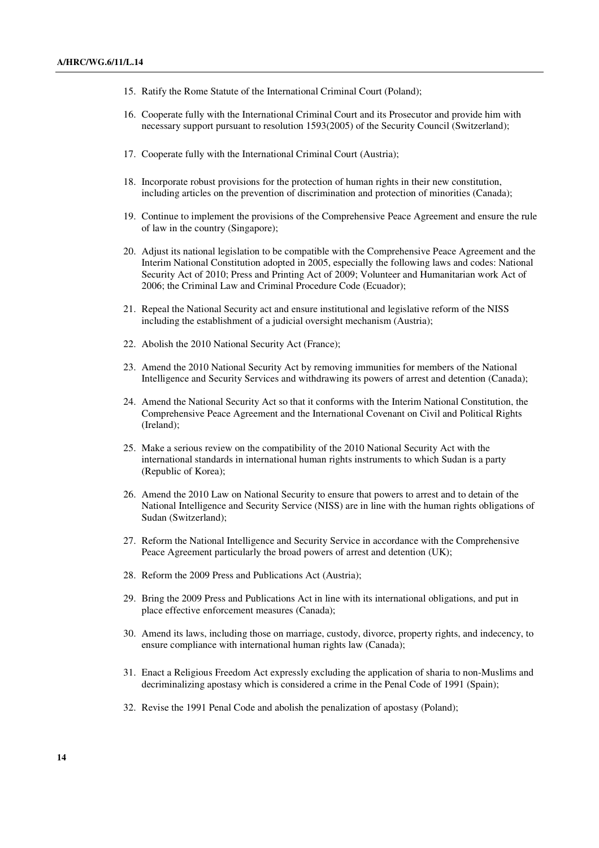- 15. Ratify the Rome Statute of the International Criminal Court (Poland);
- 16. Cooperate fully with the International Criminal Court and its Prosecutor and provide him with necessary support pursuant to resolution 1593(2005) of the Security Council (Switzerland);
- 17. Cooperate fully with the International Criminal Court (Austria);
- 18. Incorporate robust provisions for the protection of human rights in their new constitution, including articles on the prevention of discrimination and protection of minorities (Canada);
- 19. Continue to implement the provisions of the Comprehensive Peace Agreement and ensure the rule of law in the country (Singapore);
- 20. Adjust its national legislation to be compatible with the Comprehensive Peace Agreement and the Interim National Constitution adopted in 2005, especially the following laws and codes: National Security Act of 2010; Press and Printing Act of 2009; Volunteer and Humanitarian work Act of 2006; the Criminal Law and Criminal Procedure Code (Ecuador);
- 21. Repeal the National Security act and ensure institutional and legislative reform of the NISS including the establishment of a judicial oversight mechanism (Austria);
- 22. Abolish the 2010 National Security Act (France);
- 23. Amend the 2010 National Security Act by removing immunities for members of the National Intelligence and Security Services and withdrawing its powers of arrest and detention (Canada);
- 24. Amend the National Security Act so that it conforms with the Interim National Constitution, the Comprehensive Peace Agreement and the International Covenant on Civil and Political Rights (Ireland);
- 25. Make a serious review on the compatibility of the 2010 National Security Act with the international standards in international human rights instruments to which Sudan is a party (Republic of Korea);
- 26. Amend the 2010 Law on National Security to ensure that powers to arrest and to detain of the National Intelligence and Security Service (NISS) are in line with the human rights obligations of Sudan (Switzerland);
- 27. Reform the National Intelligence and Security Service in accordance with the Comprehensive Peace Agreement particularly the broad powers of arrest and detention (UK);
- 28. Reform the 2009 Press and Publications Act (Austria);
- 29. Bring the 2009 Press and Publications Act in line with its international obligations, and put in place effective enforcement measures (Canada);
- 30. Amend its laws, including those on marriage, custody, divorce, property rights, and indecency, to ensure compliance with international human rights law (Canada);
- 31. Enact a Religious Freedom Act expressly excluding the application of sharia to non-Muslims and decriminalizing apostasy which is considered a crime in the Penal Code of 1991 (Spain);
- 32. Revise the 1991 Penal Code and abolish the penalization of apostasy (Poland);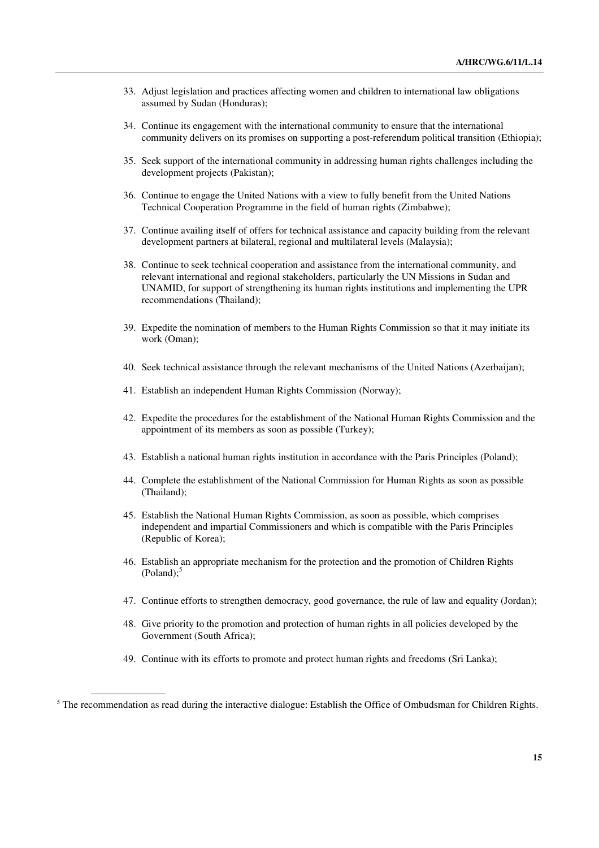- 33. Adjust legislation and practices affecting women and children to international law obligations assumed by Sudan (Honduras);
- 34. Continue its engagement with the international community to ensure that the international community delivers on its promises on supporting a post-referendum political transition (Ethiopia);
- 35. Seek support of the international community in addressing human rights challenges including the development projects (Pakistan);
- 36. Continue to engage the United Nations with a view to fully benefit from the United Nations Technical Cooperation Programme in the field of human rights (Zimbabwe);
- 37. Continue availing itself of offers for technical assistance and capacity building from the relevant development partners at bilateral, regional and multilateral levels (Malaysia);
- 38. Continue to seek technical cooperation and assistance from the international community, and relevant international and regional stakeholders, particularly the UN Missions in Sudan and UNAMID, for support of strengthening its human rights institutions and implementing the UPR recommendations (Thailand);
- 39. Expedite the nomination of members to the Human Rights Commission so that it may initiate its work (Oman);
- 40. Seek technical assistance through the relevant mechanisms of the United Nations (Azerbaijan);
- 41. Establish an independent Human Rights Commission (Norway);
- 42. Expedite the procedures for the establishment of the National Human Rights Commission and the appointment of its members as soon as possible (Turkey);
- 43. Establish a national human rights institution in accordance with the Paris Principles (Poland);
- 44. Complete the establishment of the National Commission for Human Rights as soon as possible (Thailand);
- 45. Establish the National Human Rights Commission, as soon as possible, which comprises independent and impartial Commissioners and which is compatible with the Paris Principles (Republic of Korea);
- 46. Establish an appropriate mechanism for the protection and the promotion of Children Rights  $(Poland)$ ;<sup>5</sup>
- 47. Continue efforts to strengthen democracy, good governance, the rule of law and equality (Jordan);
- 48. Give priority to the promotion and protection of human rights in all policies developed by the Government (South Africa);
- 49. Continue with its efforts to promote and protect human rights and freedoms (Sri Lanka);

<sup>&</sup>lt;sup>5</sup> The recommendation as read during the interactive dialogue: Establish the Office of Ombudsman for Children Rights.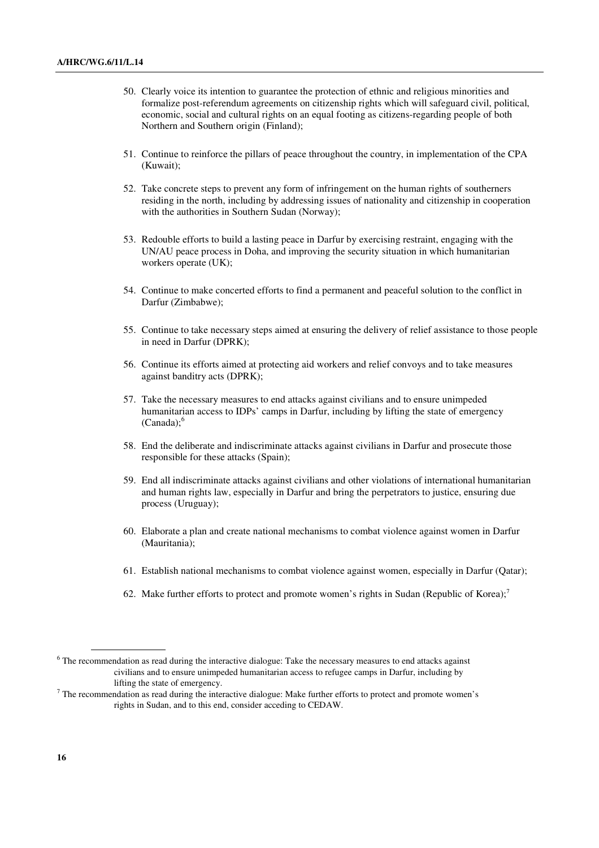- 50. Clearly voice its intention to guarantee the protection of ethnic and religious minorities and formalize post-referendum agreements on citizenship rights which will safeguard civil, political, economic, social and cultural rights on an equal footing as citizens-regarding people of both Northern and Southern origin (Finland);
- 51. Continue to reinforce the pillars of peace throughout the country, in implementation of the CPA (Kuwait);
- 52. Take concrete steps to prevent any form of infringement on the human rights of southerners residing in the north, including by addressing issues of nationality and citizenship in cooperation with the authorities in Southern Sudan (Norway);
- 53. Redouble efforts to build a lasting peace in Darfur by exercising restraint, engaging with the UN/AU peace process in Doha, and improving the security situation in which humanitarian workers operate (UK);
- 54. Continue to make concerted efforts to find a permanent and peaceful solution to the conflict in Darfur (Zimbabwe);
- 55. Continue to take necessary steps aimed at ensuring the delivery of relief assistance to those people in need in Darfur (DPRK);
- 56. Continue its efforts aimed at protecting aid workers and relief convoys and to take measures against banditry acts (DPRK);
- 57. Take the necessary measures to end attacks against civilians and to ensure unimpeded humanitarian access to IDPs' camps in Darfur, including by lifting the state of emergency  $(Canada)$ ;
- 58. End the deliberate and indiscriminate attacks against civilians in Darfur and prosecute those responsible for these attacks (Spain);
- 59. End all indiscriminate attacks against civilians and other violations of international humanitarian and human rights law, especially in Darfur and bring the perpetrators to justice, ensuring due process (Uruguay);
- 60. Elaborate a plan and create national mechanisms to combat violence against women in Darfur (Mauritania);
- 61. Establish national mechanisms to combat violence against women, especially in Darfur (Qatar);
- 62. Make further efforts to protect and promote women's rights in Sudan (Republic of Korea);<sup>7</sup>

<sup>&</sup>lt;sup>6</sup> The recommendation as read during the interactive dialogue: Take the necessary measures to end attacks against civilians and to ensure unimpeded humanitarian access to refugee camps in Darfur, including by lifting the state of emergency.

 $<sup>7</sup>$  The recommendation as read during the interactive dialogue: Make further efforts to protect and promote women's</sup> rights in Sudan, and to this end, consider acceding to CEDAW.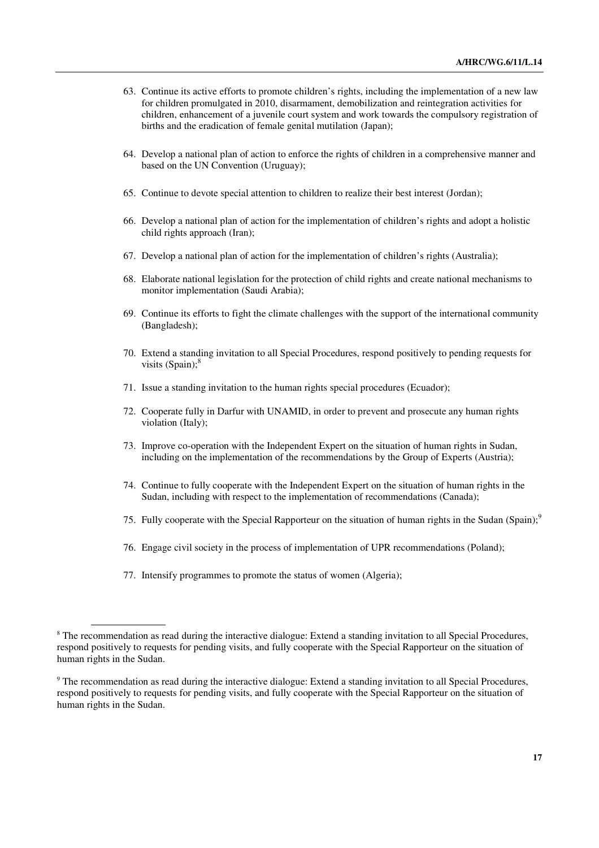- 63. Continue its active efforts to promote children's rights, including the implementation of a new law for children promulgated in 2010, disarmament, demobilization and reintegration activities for children, enhancement of a juvenile court system and work towards the compulsory registration of births and the eradication of female genital mutilation (Japan);
- 64. Develop a national plan of action to enforce the rights of children in a comprehensive manner and based on the UN Convention (Uruguay);
- 65. Continue to devote special attention to children to realize their best interest (Jordan);
- 66. Develop a national plan of action for the implementation of children's rights and adopt a holistic child rights approach (Iran);
- 67. Develop a national plan of action for the implementation of children's rights (Australia);
- 68. Elaborate national legislation for the protection of child rights and create national mechanisms to monitor implementation (Saudi Arabia);
- 69. Continue its efforts to fight the climate challenges with the support of the international community (Bangladesh);
- 70. Extend a standing invitation to all Special Procedures, respond positively to pending requests for visits  $(Spain)$ ;<sup>8</sup>
- 71. Issue a standing invitation to the human rights special procedures (Ecuador);
- 72. Cooperate fully in Darfur with UNAMID, in order to prevent and prosecute any human rights violation (Italy);
- 73. Improve co-operation with the Independent Expert on the situation of human rights in Sudan, including on the implementation of the recommendations by the Group of Experts (Austria);
- 74. Continue to fully cooperate with the Independent Expert on the situation of human rights in the Sudan, including with respect to the implementation of recommendations (Canada);
- 75. Fully cooperate with the Special Rapporteur on the situation of human rights in the Sudan (Spain);<sup>9</sup>
- 76. Engage civil society in the process of implementation of UPR recommendations (Poland);
- 77. Intensify programmes to promote the status of women (Algeria);

<sup>&</sup>lt;sup>8</sup> The recommendation as read during the interactive dialogue: Extend a standing invitation to all Special Procedures, respond positively to requests for pending visits, and fully cooperate with the Special Rapporteur on the situation of human rights in the Sudan.

<sup>&</sup>lt;sup>9</sup> The recommendation as read during the interactive dialogue: Extend a standing invitation to all Special Procedures, respond positively to requests for pending visits, and fully cooperate with the Special Rapporteur on the situation of human rights in the Sudan.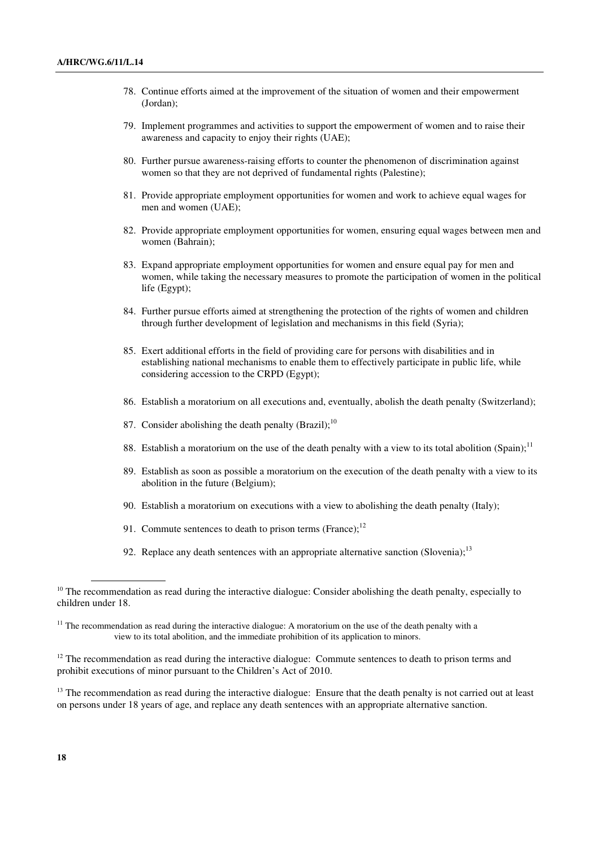- 78. Continue efforts aimed at the improvement of the situation of women and their empowerment (Jordan);
- 79. Implement programmes and activities to support the empowerment of women and to raise their awareness and capacity to enjoy their rights (UAE);
- 80. Further pursue awareness-raising efforts to counter the phenomenon of discrimination against women so that they are not deprived of fundamental rights (Palestine);
- 81. Provide appropriate employment opportunities for women and work to achieve equal wages for men and women (UAE);
- 82. Provide appropriate employment opportunities for women, ensuring equal wages between men and women (Bahrain);
- 83. Expand appropriate employment opportunities for women and ensure equal pay for men and women, while taking the necessary measures to promote the participation of women in the political life (Egypt);
- 84. Further pursue efforts aimed at strengthening the protection of the rights of women and children through further development of legislation and mechanisms in this field (Syria);
- 85. Exert additional efforts in the field of providing care for persons with disabilities and in establishing national mechanisms to enable them to effectively participate in public life, while considering accession to the CRPD (Egypt);
- 86. Establish a moratorium on all executions and, eventually, abolish the death penalty (Switzerland);
- 87. Consider abolishing the death penalty (Brazil): $10$
- 88. Establish a moratorium on the use of the death penalty with a view to its total abolition (Spain);<sup>11</sup>
- 89. Establish as soon as possible a moratorium on the execution of the death penalty with a view to its abolition in the future (Belgium);
- 90. Establish a moratorium on executions with a view to abolishing the death penalty (Italy);
- 91. Commute sentences to death to prison terms (France); $^{12}$
- 92. Replace any death sentences with an appropriate alternative sanction (Slovenia);<sup>13</sup>

 $<sup>13</sup>$  The recommendation as read during the interactive dialogue: Ensure that the death penalty is not carried out at least</sup> on persons under 18 years of age, and replace any death sentences with an appropriate alternative sanction.

 $10$  The recommendation as read during the interactive dialogue: Consider abolishing the death penalty, especially to children under 18.

 $11$  The recommendation as read during the interactive dialogue: A moratorium on the use of the death penalty with a view to its total abolition, and the immediate prohibition of its application to minors.

<sup>&</sup>lt;sup>12</sup> The recommendation as read during the interactive dialogue: Commute sentences to death to prison terms and prohibit executions of minor pursuant to the Children's Act of 2010.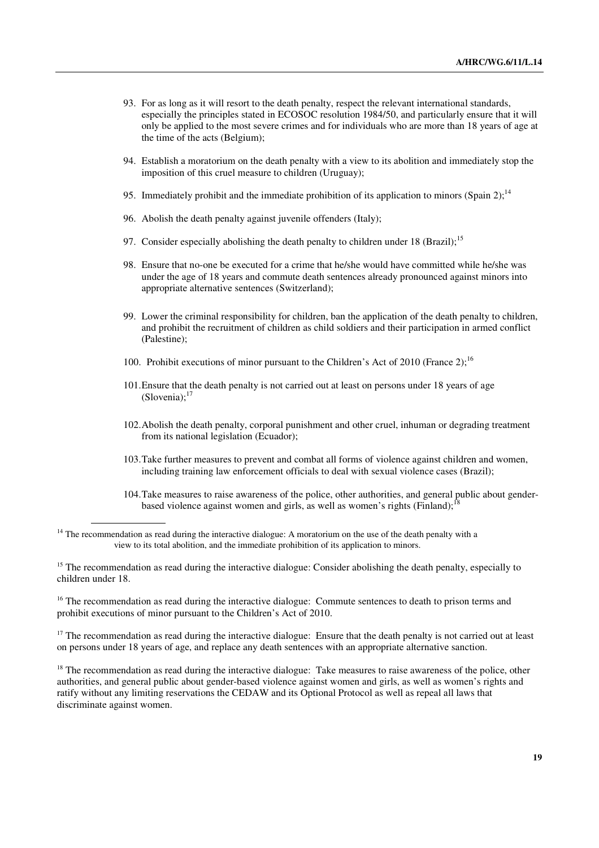- 93. For as long as it will resort to the death penalty, respect the relevant international standards, especially the principles stated in ECOSOC resolution 1984/50, and particularly ensure that it will only be applied to the most severe crimes and for individuals who are more than 18 years of age at the time of the acts (Belgium);
- 94. Establish a moratorium on the death penalty with a view to its abolition and immediately stop the imposition of this cruel measure to children (Uruguay);
- 95. Immediately prohibit and the immediate prohibition of its application to minors (Spain 2);<sup>14</sup>
- 96. Abolish the death penalty against juvenile offenders (Italy);
- 97. Consider especially abolishing the death penalty to children under 18 (Brazil);<sup>15</sup>
- 98. Ensure that no-one be executed for a crime that he/she would have committed while he/she was under the age of 18 years and commute death sentences already pronounced against minors into appropriate alternative sentences (Switzerland);
- 99. Lower the criminal responsibility for children, ban the application of the death penalty to children, and prohibit the recruitment of children as child soldiers and their participation in armed conflict (Palestine);
- 100. Prohibit executions of minor pursuant to the Children's Act of 2010 (France 2):<sup>16</sup>
- 101.Ensure that the death penalty is not carried out at least on persons under 18 years of age  $(Slovenia)$ ;<sup>17</sup>
- 102.Abolish the death penalty, corporal punishment and other cruel, inhuman or degrading treatment from its national legislation (Ecuador);
- 103.Take further measures to prevent and combat all forms of violence against children and women, including training law enforcement officials to deal with sexual violence cases (Brazil);
- 104.Take measures to raise awareness of the police, other authorities, and general public about genderbased violence against women and girls, as well as women's rights (Finland);<sup>1</sup>

 $14$  The recommendation as read during the interactive dialogue: A moratorium on the use of the death penalty with a view to its total abolition, and the immediate prohibition of its application to minors.

<sup>15</sup> The recommendation as read during the interactive dialogue: Consider abolishing the death penalty, especially to children under 18.

<sup>16</sup> The recommendation as read during the interactive dialogue: Commute sentences to death to prison terms and prohibit executions of minor pursuant to the Children's Act of 2010.

 $17$  The recommendation as read during the interactive dialogue: Ensure that the death penalty is not carried out at least on persons under 18 years of age, and replace any death sentences with an appropriate alternative sanction.

 $18$  The recommendation as read during the interactive dialogue: Take measures to raise awareness of the police, other authorities, and general public about gender-based violence against women and girls, as well as women's rights and ratify without any limiting reservations the CEDAW and its Optional Protocol as well as repeal all laws that discriminate against women.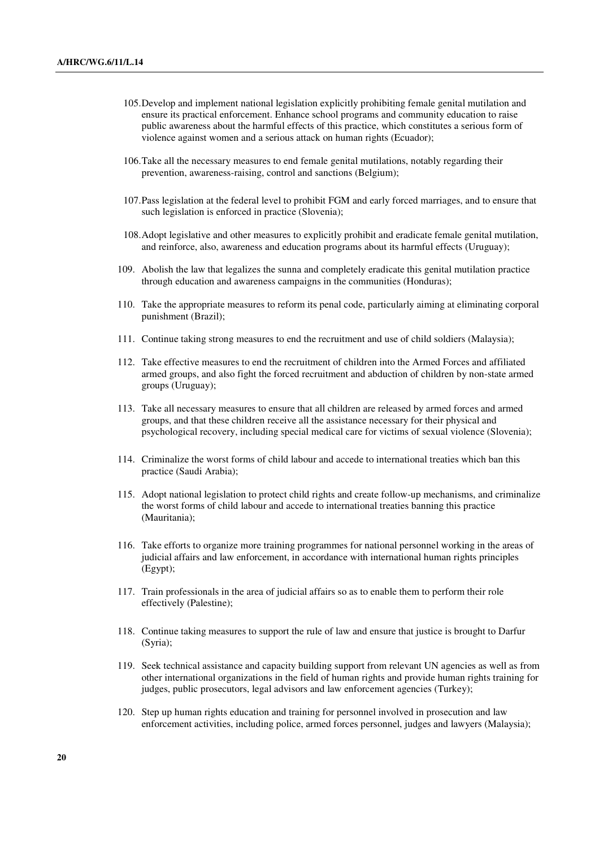- 105.Develop and implement national legislation explicitly prohibiting female genital mutilation and ensure its practical enforcement. Enhance school programs and community education to raise public awareness about the harmful effects of this practice, which constitutes a serious form of violence against women and a serious attack on human rights (Ecuador);
- 106.Take all the necessary measures to end female genital mutilations, notably regarding their prevention, awareness-raising, control and sanctions (Belgium);
- 107.Pass legislation at the federal level to prohibit FGM and early forced marriages, and to ensure that such legislation is enforced in practice (Slovenia);
- 108.Adopt legislative and other measures to explicitly prohibit and eradicate female genital mutilation, and reinforce, also, awareness and education programs about its harmful effects (Uruguay);
- 109. Abolish the law that legalizes the sunna and completely eradicate this genital mutilation practice through education and awareness campaigns in the communities (Honduras);
- 110. Take the appropriate measures to reform its penal code, particularly aiming at eliminating corporal punishment (Brazil);
- 111. Continue taking strong measures to end the recruitment and use of child soldiers (Malaysia);
- 112. Take effective measures to end the recruitment of children into the Armed Forces and affiliated armed groups, and also fight the forced recruitment and abduction of children by non-state armed groups (Uruguay);
- 113. Take all necessary measures to ensure that all children are released by armed forces and armed groups, and that these children receive all the assistance necessary for their physical and psychological recovery, including special medical care for victims of sexual violence (Slovenia);
- 114. Criminalize the worst forms of child labour and accede to international treaties which ban this practice (Saudi Arabia);
- 115. Adopt national legislation to protect child rights and create follow-up mechanisms, and criminalize the worst forms of child labour and accede to international treaties banning this practice (Mauritania);
- 116. Take efforts to organize more training programmes for national personnel working in the areas of judicial affairs and law enforcement, in accordance with international human rights principles (Egypt);
- 117. Train professionals in the area of judicial affairs so as to enable them to perform their role effectively (Palestine);
- 118. Continue taking measures to support the rule of law and ensure that justice is brought to Darfur (Syria);
- 119. Seek technical assistance and capacity building support from relevant UN agencies as well as from other international organizations in the field of human rights and provide human rights training for judges, public prosecutors, legal advisors and law enforcement agencies (Turkey);
- 120. Step up human rights education and training for personnel involved in prosecution and law enforcement activities, including police, armed forces personnel, judges and lawyers (Malaysia);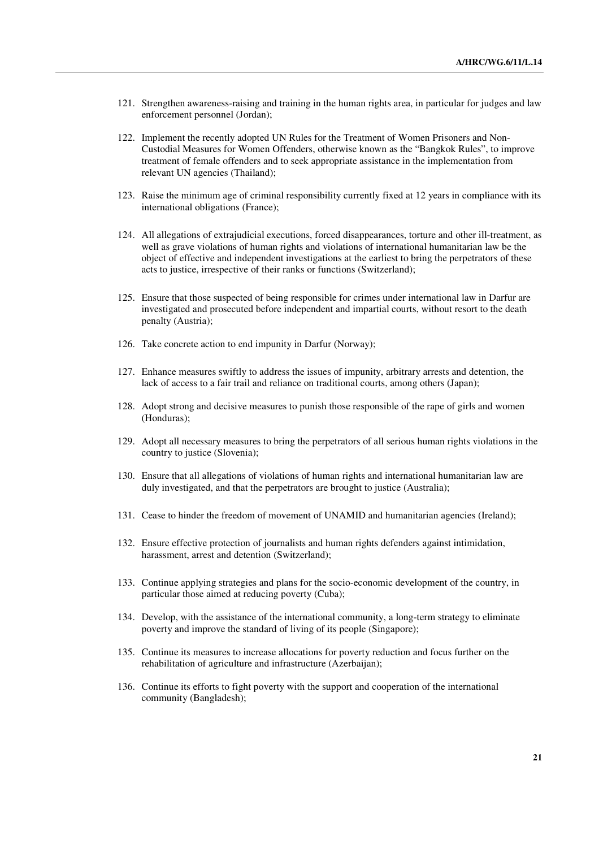- 121. Strengthen awareness-raising and training in the human rights area, in particular for judges and law enforcement personnel (Jordan);
- 122. Implement the recently adopted UN Rules for the Treatment of Women Prisoners and Non-Custodial Measures for Women Offenders, otherwise known as the "Bangkok Rules", to improve treatment of female offenders and to seek appropriate assistance in the implementation from relevant UN agencies (Thailand);
- 123. Raise the minimum age of criminal responsibility currently fixed at 12 years in compliance with its international obligations (France);
- 124. All allegations of extrajudicial executions, forced disappearances, torture and other ill-treatment, as well as grave violations of human rights and violations of international humanitarian law be the object of effective and independent investigations at the earliest to bring the perpetrators of these acts to justice, irrespective of their ranks or functions (Switzerland);
- 125. Ensure that those suspected of being responsible for crimes under international law in Darfur are investigated and prosecuted before independent and impartial courts, without resort to the death penalty (Austria);
- 126. Take concrete action to end impunity in Darfur (Norway);
- 127. Enhance measures swiftly to address the issues of impunity, arbitrary arrests and detention, the lack of access to a fair trail and reliance on traditional courts, among others (Japan);
- 128. Adopt strong and decisive measures to punish those responsible of the rape of girls and women (Honduras);
- 129. Adopt all necessary measures to bring the perpetrators of all serious human rights violations in the country to justice (Slovenia);
- 130. Ensure that all allegations of violations of human rights and international humanitarian law are duly investigated, and that the perpetrators are brought to justice (Australia);
- 131. Cease to hinder the freedom of movement of UNAMID and humanitarian agencies (Ireland);
- 132. Ensure effective protection of journalists and human rights defenders against intimidation, harassment, arrest and detention (Switzerland);
- 133. Continue applying strategies and plans for the socio-economic development of the country, in particular those aimed at reducing poverty (Cuba);
- 134. Develop, with the assistance of the international community, a long-term strategy to eliminate poverty and improve the standard of living of its people (Singapore);
- 135. Continue its measures to increase allocations for poverty reduction and focus further on the rehabilitation of agriculture and infrastructure (Azerbaijan);
- 136. Continue its efforts to fight poverty with the support and cooperation of the international community (Bangladesh);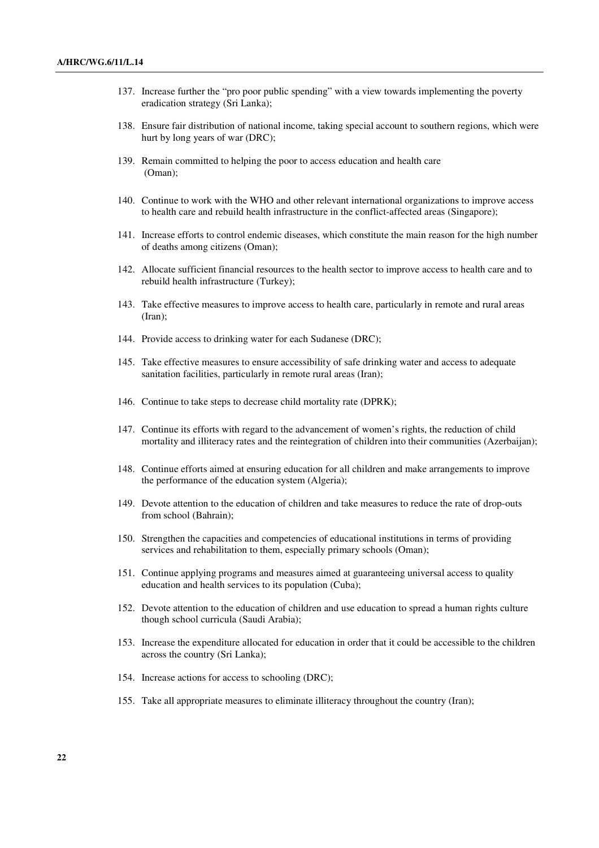- 137. Increase further the "pro poor public spending" with a view towards implementing the poverty eradication strategy (Sri Lanka);
- 138. Ensure fair distribution of national income, taking special account to southern regions, which were hurt by long years of war (DRC);
- 139. Remain committed to helping the poor to access education and health care (Oman);
- 140. Continue to work with the WHO and other relevant international organizations to improve access to health care and rebuild health infrastructure in the conflict-affected areas (Singapore);
- 141. Increase efforts to control endemic diseases, which constitute the main reason for the high number of deaths among citizens (Oman);
- 142. Allocate sufficient financial resources to the health sector to improve access to health care and to rebuild health infrastructure (Turkey);
- 143. Take effective measures to improve access to health care, particularly in remote and rural areas (Iran);
- 144. Provide access to drinking water for each Sudanese (DRC);
- 145. Take effective measures to ensure accessibility of safe drinking water and access to adequate sanitation facilities, particularly in remote rural areas (Iran);
- 146. Continue to take steps to decrease child mortality rate (DPRK);
- 147. Continue its efforts with regard to the advancement of women's rights, the reduction of child mortality and illiteracy rates and the reintegration of children into their communities (Azerbaijan);
- 148. Continue efforts aimed at ensuring education for all children and make arrangements to improve the performance of the education system (Algeria);
- 149. Devote attention to the education of children and take measures to reduce the rate of drop-outs from school (Bahrain);
- 150. Strengthen the capacities and competencies of educational institutions in terms of providing services and rehabilitation to them, especially primary schools (Oman);
- 151. Continue applying programs and measures aimed at guaranteeing universal access to quality education and health services to its population (Cuba);
- 152. Devote attention to the education of children and use education to spread a human rights culture though school curricula (Saudi Arabia);
- 153. Increase the expenditure allocated for education in order that it could be accessible to the children across the country (Sri Lanka);
- 154. Increase actions for access to schooling (DRC);
- 155. Take all appropriate measures to eliminate illiteracy throughout the country (Iran);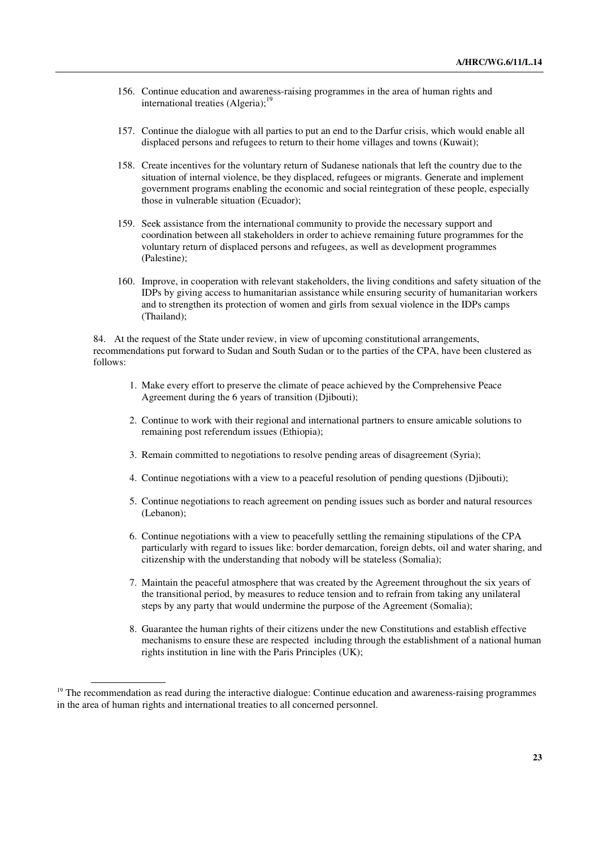- 156. Continue education and awareness-raising programmes in the area of human rights and international treaties  $(A<sub>l</sub>geria)<sup>19</sup>$
- 157. Continue the dialogue with all parties to put an end to the Darfur crisis, which would enable all displaced persons and refugees to return to their home villages and towns (Kuwait);
- 158. Create incentives for the voluntary return of Sudanese nationals that left the country due to the situation of internal violence, be they displaced, refugees or migrants. Generate and implement government programs enabling the economic and social reintegration of these people, especially those in vulnerable situation (Ecuador);
- 159. Seek assistance from the international community to provide the necessary support and coordination between all stakeholders in order to achieve remaining future programmes for the voluntary return of displaced persons and refugees, as well as development programmes (Palestine);
- 160. Improve, in cooperation with relevant stakeholders, the living conditions and safety situation of the IDPs by giving access to humanitarian assistance while ensuring security of humanitarian workers and to strengthen its protection of women and girls from sexual violence in the IDPs camps (Thailand);

84. At the request of the State under review, in view of upcoming constitutional arrangements, recommendations put forward to Sudan and South Sudan or to the parties of the CPA, have been clustered as follows:

- 1. Make every effort to preserve the climate of peace achieved by the Comprehensive Peace Agreement during the 6 years of transition (Djibouti);
- 2. Continue to work with their regional and international partners to ensure amicable solutions to remaining post referendum issues (Ethiopia);
- 3. Remain committed to negotiations to resolve pending areas of disagreement (Syria);
- 4. Continue negotiations with a view to a peaceful resolution of pending questions (Djibouti);
- 5. Continue negotiations to reach agreement on pending issues such as border and natural resources (Lebanon);
- 6. Continue negotiations with a view to peacefully settling the remaining stipulations of the CPA particularly with regard to issues like: border demarcation, foreign debts, oil and water sharing, and citizenship with the understanding that nobody will be stateless (Somalia);
- 7. Maintain the peaceful atmosphere that was created by the Agreement throughout the six years of the transitional period, by measures to reduce tension and to refrain from taking any unilateral steps by any party that would undermine the purpose of the Agreement (Somalia);
- 8. Guarantee the human rights of their citizens under the new Constitutions and establish effective mechanisms to ensure these are respected including through the establishment of a national human rights institution in line with the Paris Principles (UK);

 $19$  The recommendation as read during the interactive dialogue: Continue education and awareness-raising programmes in the area of human rights and international treaties to all concerned personnel.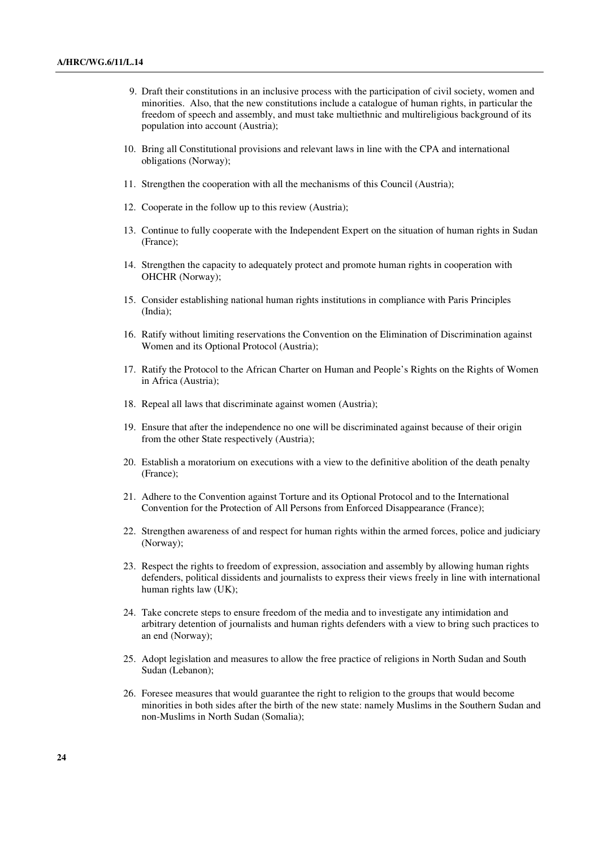- 9. Draft their constitutions in an inclusive process with the participation of civil society, women and minorities. Also, that the new constitutions include a catalogue of human rights, in particular the freedom of speech and assembly, and must take multiethnic and multireligious background of its population into account (Austria);
- 10. Bring all Constitutional provisions and relevant laws in line with the CPA and international obligations (Norway);
- 11. Strengthen the cooperation with all the mechanisms of this Council (Austria);
- 12. Cooperate in the follow up to this review (Austria);
- 13. Continue to fully cooperate with the Independent Expert on the situation of human rights in Sudan (France);
- 14. Strengthen the capacity to adequately protect and promote human rights in cooperation with OHCHR (Norway);
- 15. Consider establishing national human rights institutions in compliance with Paris Principles (India);
- 16. Ratify without limiting reservations the Convention on the Elimination of Discrimination against Women and its Optional Protocol (Austria);
- 17. Ratify the Protocol to the African Charter on Human and People's Rights on the Rights of Women in Africa (Austria);
- 18. Repeal all laws that discriminate against women (Austria);
- 19. Ensure that after the independence no one will be discriminated against because of their origin from the other State respectively (Austria);
- 20. Establish a moratorium on executions with a view to the definitive abolition of the death penalty (France);
- 21. Adhere to the Convention against Torture and its Optional Protocol and to the International Convention for the Protection of All Persons from Enforced Disappearance (France);
- 22. Strengthen awareness of and respect for human rights within the armed forces, police and judiciary (Norway);
- 23. Respect the rights to freedom of expression, association and assembly by allowing human rights defenders, political dissidents and journalists to express their views freely in line with international human rights law (UK);
- 24. Take concrete steps to ensure freedom of the media and to investigate any intimidation and arbitrary detention of journalists and human rights defenders with a view to bring such practices to an end (Norway);
- 25. Adopt legislation and measures to allow the free practice of religions in North Sudan and South Sudan (Lebanon);
- 26. Foresee measures that would guarantee the right to religion to the groups that would become minorities in both sides after the birth of the new state: namely Muslims in the Southern Sudan and non-Muslims in North Sudan (Somalia);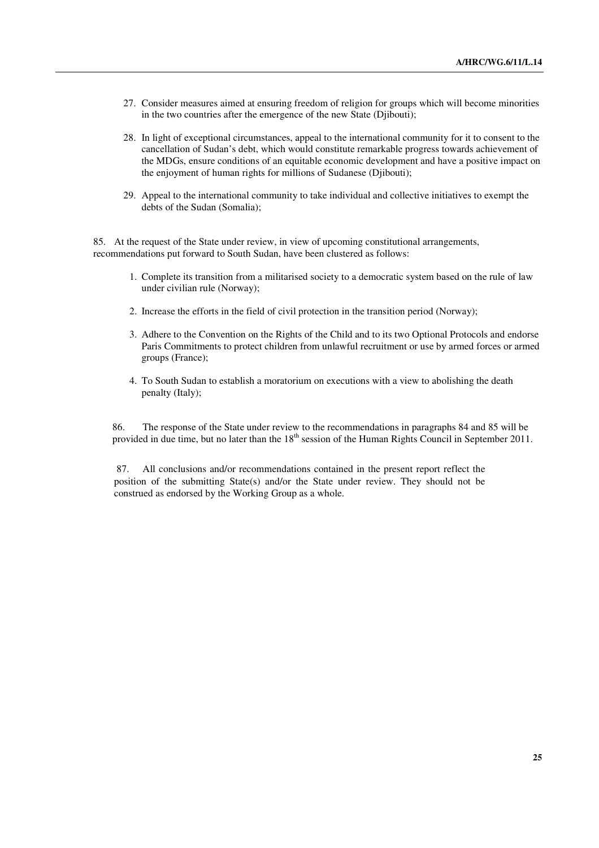- 27. Consider measures aimed at ensuring freedom of religion for groups which will become minorities in the two countries after the emergence of the new State (Djibouti);
- 28. In light of exceptional circumstances, appeal to the international community for it to consent to the cancellation of Sudan's debt, which would constitute remarkable progress towards achievement of the MDGs, ensure conditions of an equitable economic development and have a positive impact on the enjoyment of human rights for millions of Sudanese (Djibouti);
- 29. Appeal to the international community to take individual and collective initiatives to exempt the debts of the Sudan (Somalia);

85. At the request of the State under review, in view of upcoming constitutional arrangements, recommendations put forward to South Sudan, have been clustered as follows:

- 1. Complete its transition from a militarised society to a democratic system based on the rule of law under civilian rule (Norway);
- 2. Increase the efforts in the field of civil protection in the transition period (Norway);
- 3. Adhere to the Convention on the Rights of the Child and to its two Optional Protocols and endorse Paris Commitments to protect children from unlawful recruitment or use by armed forces or armed groups (France);
- 4. To South Sudan to establish a moratorium on executions with a view to abolishing the death penalty (Italy);

86. The response of the State under review to the recommendations in paragraphs 84 and 85 will be provided in due time, but no later than the 18<sup>th</sup> session of the Human Rights Council in September 2011.

 87. All conclusions and/or recommendations contained in the present report reflect the position of the submitting State(s) and/or the State under review. They should not be construed as endorsed by the Working Group as a whole.